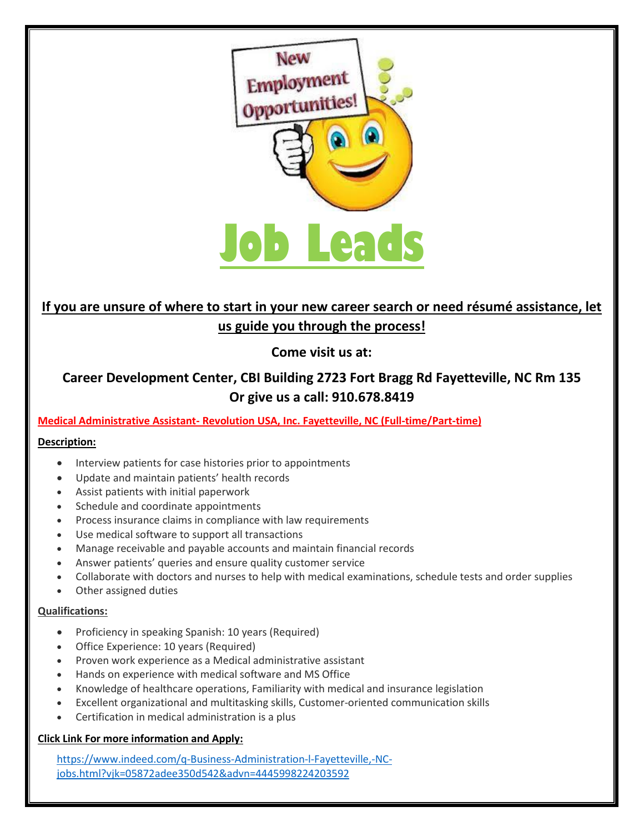

## **If you are unsure of where to start in your new career search or need résumé assistance, let us guide you through the process!**

**Come visit us at:** 

## **Career Development Center, CBI Building 2723 Fort Bragg Rd Fayetteville, NC Rm 135 Or give us a call: 910.678.8419**

**Medical Administrative Assistant- Revolution USA, Inc. Fayetteville, NC (Full-time/Part-time)**

## **Description:**

- Interview patients for case histories prior to appointments
- Update and maintain patients' health records
- Assist patients with initial paperwork
- Schedule and coordinate appointments
- Process insurance claims in compliance with law requirements
- Use medical software to support all transactions
- Manage receivable and payable accounts and maintain financial records
- Answer patients' queries and ensure quality customer service
- Collaborate with doctors and nurses to help with medical examinations, schedule tests and order supplies
- Other assigned duties

#### **Qualifications:**

- Proficiency in speaking Spanish: 10 years (Required)
- Office Experience: 10 years (Required)
- Proven work experience as a Medical administrative assistant
- Hands on experience with medical software and MS Office
- Knowledge of healthcare operations, Familiarity with medical and insurance legislation
- Excellent organizational and multitasking skills, Customer-oriented communication skills
- Certification in medical administration is a plus

## **Click Link For more information and Apply:**

[https://www.indeed.com/q-Business-Administration-l-Fayetteville,-NC](https://www.indeed.com/q-Business-Administration-l-Fayetteville,-NC-jobs.html?vjk=05872adee350d542&advn=4445998224203592)[jobs.html?vjk=05872adee350d542&advn=4445998224203592](https://www.indeed.com/q-Business-Administration-l-Fayetteville,-NC-jobs.html?vjk=05872adee350d542&advn=4445998224203592)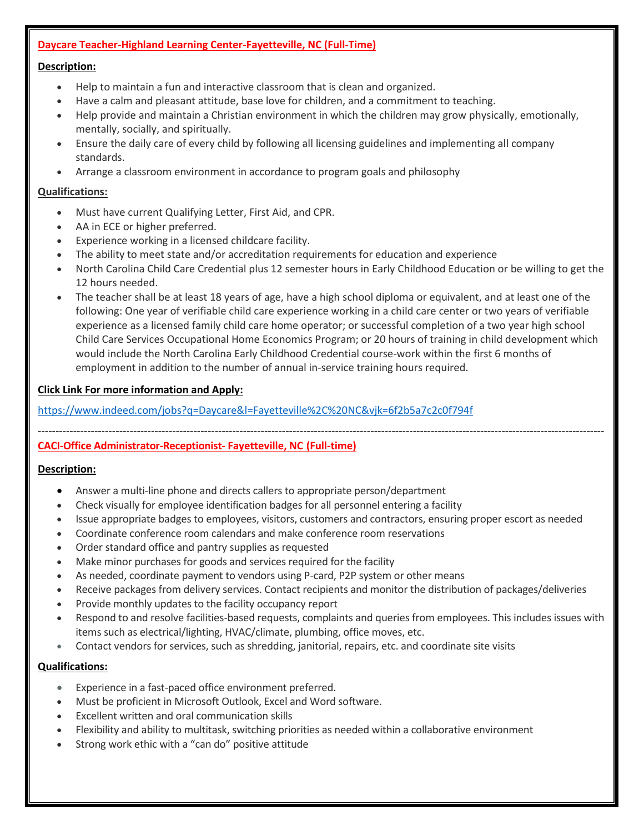#### **Daycare Teacher-Highland Learning Center-Fayetteville, NC (Full-Time)**

#### **Description:**

- Help to maintain a fun and interactive classroom that is clean and organized.
- Have a calm and pleasant attitude, base love for children, and a commitment to teaching.
- Help provide and maintain a Christian environment in which the children may grow physically, emotionally, mentally, socially, and spiritually.
- Ensure the daily care of every child by following all licensing guidelines and implementing all company standards.
- Arrange a classroom environment in accordance to program goals and philosophy

#### **Qualifications:**

- Must have current Qualifying Letter, First Aid, and CPR.
- AA in ECE or higher preferred.
- Experience working in a licensed childcare facility.
- The ability to meet state and/or accreditation requirements for education and experience
- North Carolina Child Care Credential plus 12 semester hours in Early Childhood Education or be willing to get the 12 hours needed.
- The teacher shall be at least 18 years of age, have a high school diploma or equivalent, and at least one of the following: One year of verifiable child care experience working in a child care center or two years of verifiable experience as a licensed family child care home operator; or successful completion of a two year high school Child Care Services Occupational Home Economics Program; or 20 hours of training in child development which would include the North Carolina Early Childhood Credential course-work within the first 6 months of employment in addition to the number of annual in-service training hours required.

#### **Click Link For more information and Apply:**

<https://www.indeed.com/jobs?q=Daycare&l=Fayetteville%2C%20NC&vjk=6f2b5a7c2c0f794f>

#### ---------------------------------------------------------------------------------------------------------------------------------------------------------------- **CACI-Office Administrator-Receptionist- Fayetteville, NC (Full-time)**

#### **Description:**

- Answer a multi-line phone and directs callers to appropriate person/department
- Check visually for employee identification badges for all personnel entering a facility
- Issue appropriate badges to employees, visitors, customers and contractors, ensuring proper escort as needed
- Coordinate conference room calendars and make conference room reservations
- Order standard office and pantry supplies as requested
- Make minor purchases for goods and services required for the facility
- As needed, coordinate payment to vendors using P-card, P2P system or other means
- Receive packages from delivery services. Contact recipients and monitor the distribution of packages/deliveries
- Provide monthly updates to the facility occupancy report
- Respond to and resolve facilities-based requests, complaints and queries from employees. This includes issues with items such as electrical/lighting, HVAC/climate, plumbing, office moves, etc.
- Contact vendors for services, such as shredding, janitorial, repairs, etc. and coordinate site visits

#### **Qualifications:**

- Experience in a fast-paced office environment preferred.
- Must be proficient in Microsoft Outlook, Excel and Word software.
- Excellent written and oral communication skills
- Flexibility and ability to multitask, switching priorities as needed within a collaborative environment
- Strong work ethic with a "can do" positive attitude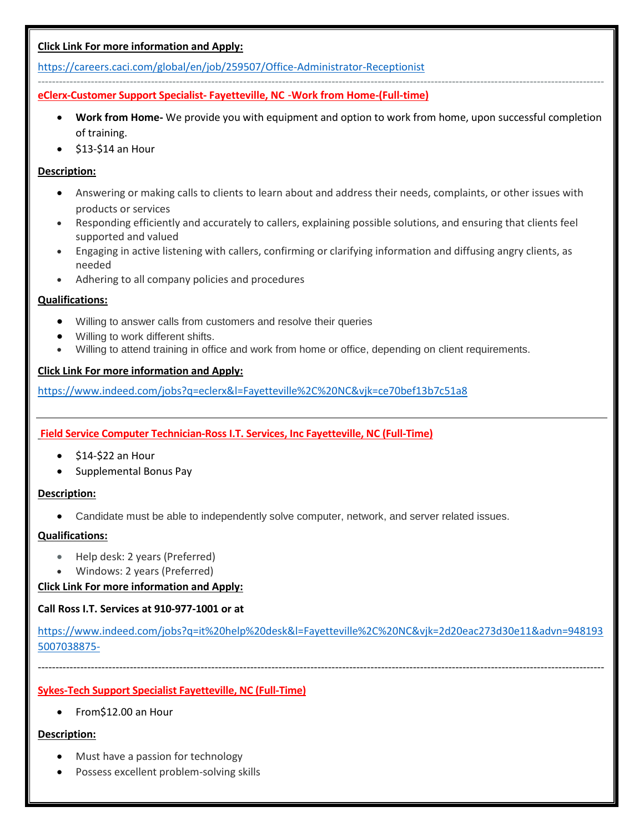## **Click Link For more information and Apply:**

<https://careers.caci.com/global/en/job/259507/Office-Administrator-Receptionist>

#### --------------------------------------------------------------------------------------------------------------------------------------------------------------- **eClerx-Customer Support Specialist- Fayetteville, NC** -**Work from Home-(Full-time)**

- **Work from Home-** We provide you with equipment and option to work from home, upon successful completion of training.
- \$13-\$14 an Hour

## **Description:**

- Answering or making calls to clients to learn about and address their needs, complaints, or other issues with products or services
- Responding efficiently and accurately to callers, explaining possible solutions, and ensuring that clients feel supported and valued
- Engaging in active listening with callers, confirming or clarifying information and diffusing angry clients, as needed
- Adhering to all company policies and procedures

## **Qualifications:**

- Willing to answer calls from customers and resolve their queries
- Willing to work different shifts.
- Willing to attend training in office and work from home or office, depending on client requirements.

#### **Click Link For more information and Apply:**

<https://www.indeed.com/jobs?q=eclerx&l=Fayetteville%2C%20NC&vjk=ce70bef13b7c51a8>

## **Field Service Computer Technician-Ross I.T. Services, Inc Fayetteville, NC (Full-Time)**

- \$14-\$22 an Hour
- Supplemental Bonus Pay

#### **Description:**

• Candidate must be able to independently solve computer, network, and server related issues.

#### **Qualifications:**

- Help desk: 2 years (Preferred)
- Windows: 2 years (Preferred)

#### **Click Link For more information and Apply:**

## **Call Ross I.T. Services at 910-977-1001 or at**

[https://www.indeed.com/jobs?q=it%20help%20desk&l=Fayetteville%2C%20NC&vjk=2d20eac273d30e11&advn=948193](https://www.indeed.com/jobs?q=it%20help%20desk&l=Fayetteville%2C%20NC&vjk=2d20eac273d30e11&advn=9481935007038875-) [5007038875-](https://www.indeed.com/jobs?q=it%20help%20desk&l=Fayetteville%2C%20NC&vjk=2d20eac273d30e11&advn=9481935007038875-)

----------------------------------------------------------------------------------------------------------------------------------------------------------------

## **Sykes-Tech Support Specialist Fayetteville, NC (Full-Time)**

• From\$12.00 an Hour

## **Description:**

- Must have a passion for technology
- Possess excellent problem-solving skills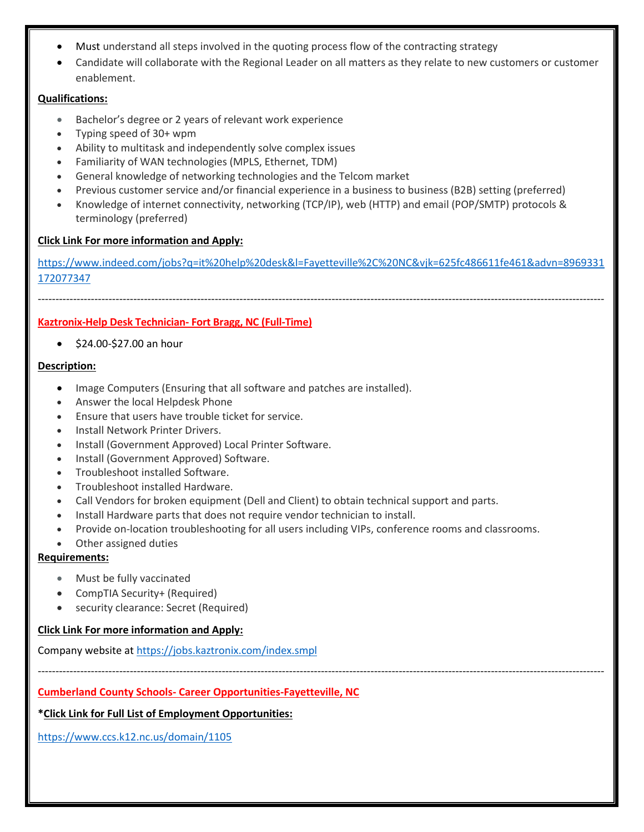- Must understand all steps involved in the quoting process flow of the contracting strategy
- Candidate will collaborate with the Regional Leader on all matters as they relate to new customers or customer enablement.

## **Qualifications:**

- Bachelor's degree or 2 years of relevant work experience
- Typing speed of 30+ wpm
- Ability to multitask and independently solve complex issues
- Familiarity of WAN technologies (MPLS, Ethernet, TDM)
- General knowledge of networking technologies and the Telcom market
- Previous customer service and/or financial experience in a business to business (B2B) setting (preferred)
- Knowledge of internet connectivity, networking (TCP/IP), web (HTTP) and email (POP/SMTP) protocols & terminology (preferred)

## **Click Link For more information and Apply:**

[https://www.indeed.com/jobs?q=it%20help%20desk&l=Fayetteville%2C%20NC&vjk=625fc486611fe461&advn=8969331](https://www.indeed.com/jobs?q=it%20help%20desk&l=Fayetteville%2C%20NC&vjk=625fc486611fe461&advn=8969331172077347) [172077347](https://www.indeed.com/jobs?q=it%20help%20desk&l=Fayetteville%2C%20NC&vjk=625fc486611fe461&advn=8969331172077347)

----------------------------------------------------------------------------------------------------------------------------------------------------------------

## **Kaztronix-Help Desk Technician- Fort Bragg, NC (Full-Time)**

• \$24.00-\$27.00 an hour

## **Description:**

- Image Computers (Ensuring that all software and patches are installed).
- Answer the local Helpdesk Phone
- Ensure that users have trouble ticket for service.
- Install Network Printer Drivers.
- Install (Government Approved) Local Printer Software.
- Install (Government Approved) Software.
- Troubleshoot installed Software.
- Troubleshoot installed Hardware.
- Call Vendors for broken equipment (Dell and Client) to obtain technical support and parts.
- Install Hardware parts that does not require vendor technician to install.
- Provide on-location troubleshooting for all users including VIPs, conference rooms and classrooms.

----------------------------------------------------------------------------------------------------------------------------------------------------------------

Other assigned duties

## **Requirements:**

- Must be fully vaccinated
- CompTIA Security+ (Required)
- security clearance: Secret (Required)

## **Click Link For more information and Apply:**

Company website at<https://jobs.kaztronix.com/index.smpl>

## **Cumberland County Schools- Career Opportunities-Fayetteville, NC**

**\*Click Link for Full List of Employment Opportunities:**

<https://www.ccs.k12.nc.us/domain/1105>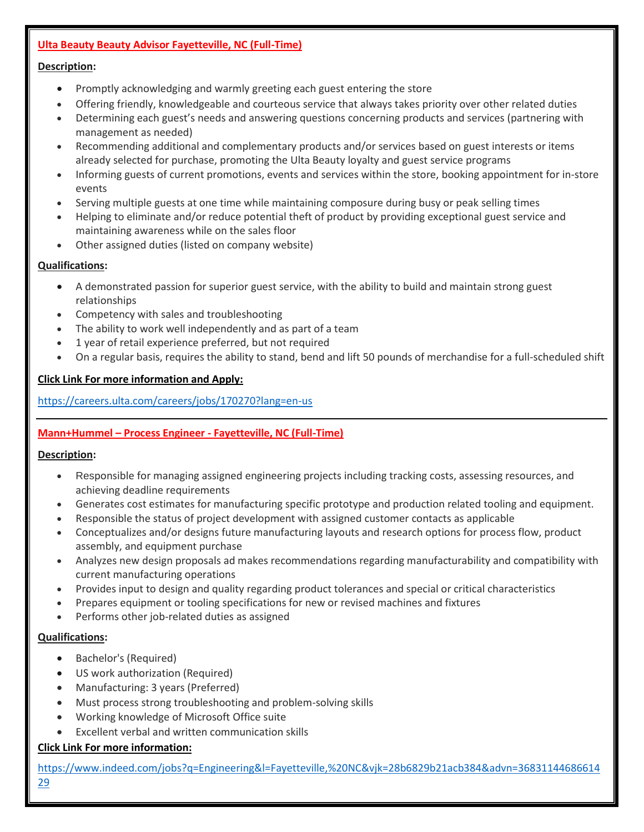## **Ulta Beauty Beauty Advisor Fayetteville, NC (Full-Time)**

## **Description:**

- Promptly acknowledging and warmly greeting each guest entering the store
- Offering friendly, knowledgeable and courteous service that always takes priority over other related duties
- Determining each guest's needs and answering questions concerning products and services (partnering with management as needed)
- Recommending additional and complementary products and/or services based on guest interests or items already selected for purchase, promoting the Ulta Beauty loyalty and guest service programs
- Informing guests of current promotions, events and services within the store, booking appointment for in-store events
- Serving multiple guests at one time while maintaining composure during busy or peak selling times
- Helping to eliminate and/or reduce potential theft of product by providing exceptional guest service and maintaining awareness while on the sales floor
- Other assigned duties (listed on company website)

## **Qualifications:**

- A demonstrated passion for superior guest service, with the ability to build and maintain strong guest relationships
- Competency with sales and troubleshooting
- The ability to work well independently and as part of a team
- 1 year of retail experience preferred, but not required
- On a regular basis, requires the ability to stand, bend and lift 50 pounds of merchandise for a full-scheduled shift

#### **Click Link For more information and Apply:**

<https://careers.ulta.com/careers/jobs/170270?lang=en-us>

## **Mann+Hummel – Process Engineer - Fayetteville, NC (Full-Time)**

#### **Description:**

- Responsible for managing assigned engineering projects including tracking costs, assessing resources, and achieving deadline requirements
- Generates cost estimates for manufacturing specific prototype and production related tooling and equipment.
- Responsible the status of project development with assigned customer contacts as applicable
- Conceptualizes and/or designs future manufacturing layouts and research options for process flow, product assembly, and equipment purchase
- Analyzes new design proposals ad makes recommendations regarding manufacturability and compatibility with current manufacturing operations
- Provides input to design and quality regarding product tolerances and special or critical characteristics
- Prepares equipment or tooling specifications for new or revised machines and fixtures
- Performs other job-related duties as assigned

#### **Qualifications:**

- Bachelor's (Required)
- US work authorization (Required)
- Manufacturing: 3 years (Preferred)
- Must process strong troubleshooting and problem-solving skills
- Working knowledge of Microsoft Office suite
- Excellent verbal and written communication skills

## **Click Link For more information:**

[https://www.indeed.com/jobs?q=Engineering&l=Fayetteville,%20NC&vjk=28b6829b21acb384&advn=36831144686614](https://www.indeed.com/jobs?q=Engineering&l=Fayetteville,%20NC&vjk=28b6829b21acb384&advn=3683114468661429) [29](https://www.indeed.com/jobs?q=Engineering&l=Fayetteville,%20NC&vjk=28b6829b21acb384&advn=3683114468661429)